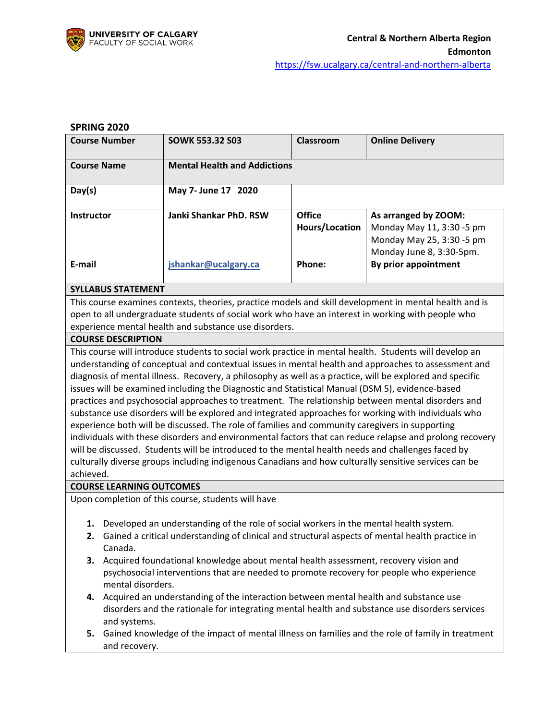

#### **SPRING 2020**

| <b>Course Number</b> | <b>SOWK 553.32 S03</b>              | Classroom      | <b>Online Delivery</b>    |
|----------------------|-------------------------------------|----------------|---------------------------|
| <b>Course Name</b>   | <b>Mental Health and Addictions</b> |                |                           |
| Day(s)               | May 7- June 17 2020                 |                |                           |
| <b>Instructor</b>    | <b>Janki Shankar PhD. RSW</b>       | <b>Office</b>  | As arranged by ZOOM:      |
|                      |                                     | Hours/Location | Monday May 11, 3:30 -5 pm |
|                      |                                     |                | Monday May 25, 3:30 -5 pm |
|                      |                                     |                | Monday June 8, 3:30-5pm.  |
| E-mail               | jshankar@ucalgary.ca                | Phone:         | By prior appointment      |

#### **SYLLABUS STATEMENT**

This course examines contexts, theories, practice models and skill development in mental health and is open to all undergraduate students of social work who have an interest in working with people who experience mental health and substance use disorders.

#### **COURSE DESCRIPTION**

This course will introduce students to social work practice in mental health. Students will develop an understanding of conceptual and contextual issues in mental health and approaches to assessment and diagnosis of mental illness. Recovery, a philosophy as well as a practice, will be explored and specific issues will be examined including the Diagnostic and Statistical Manual (DSM 5), evidence-based practices and psychosocial approaches to treatment. The relationship between mental disorders and substance use disorders will be explored and integrated approaches for working with individuals who experience both will be discussed. The role of families and community caregivers in supporting individuals with these disorders and environmental factors that can reduce relapse and prolong recovery will be discussed. Students will be introduced to the mental health needs and challenges faced by culturally diverse groups including indigenous Canadians and how culturally sensitive services can be achieved.

#### **COURSE LEARNING OUTCOMES**

Upon completion of this course, students will have

- **1.** Developed an understanding of the role of social workers in the mental health system.
- **2.** Gained a critical understanding of clinical and structural aspects of mental health practice in Canada.
- **3.** Acquired foundational knowledge about mental health assessment, recovery vision and psychosocial interventions that are needed to promote recovery for people who experience mental disorders.
- **4.** Acquired an understanding of the interaction between mental health and substance use disorders and the rationale for integrating mental health and substance use disorders services and systems.
- **5.** Gained knowledge of the impact of mental illness on families and the role of family in treatment and recovery.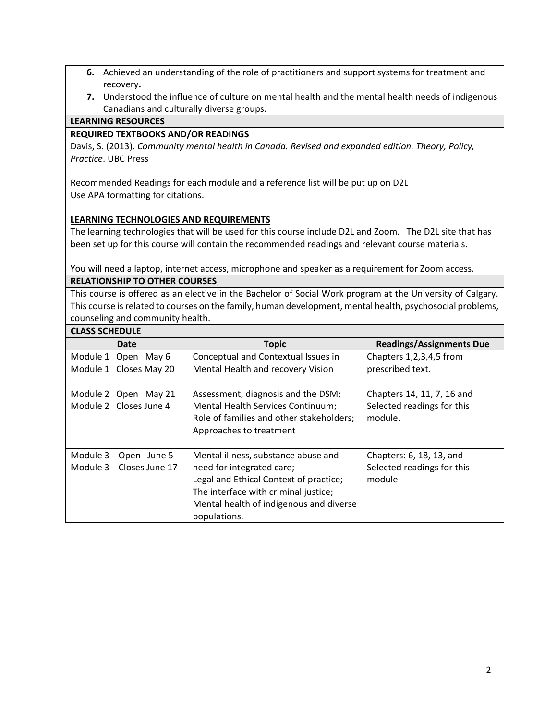- **6.** Achieved an understanding of the role of practitioners and support systems for treatment and recovery**.**
- **7.** Understood the influence of culture on mental health and the mental health needs of indigenous Canadians and culturally diverse groups.

### **LEARNING RESOURCES**

C<sub>LASS</sub> Scheeler

### **REQUIRED TEXTBOOKS AND/OR READINGS**

Davis, S. (2013). *Community mental health in Canada. Revised and expanded edition. Theory, Policy, Practice*. UBC Press

Recommended Readings for each module and a reference list will be put up on D2L Use APA formatting for citations.

### **LEARNING TECHNOLOGIES AND REQUIREMENTS**

The learning technologies that will be used for this course include D2L and Zoom. The D2L site that has been set up for this course will contain the recommended readings and relevant course materials.

You will need a laptop, internet access, microphone and speaker as a requirement for Zoom access. **RELATIONSHIP TO OTHER COURSES**

This course is offered as an elective in the Bachelor of Social Work program at the University of Calgary. This course is related to courses on the family, human development, mental health, psychosocial problems, counseling and community health.

| CLASS SCHEDULE                                        |                                                                                                                                           |                                                                     |  |  |
|-------------------------------------------------------|-------------------------------------------------------------------------------------------------------------------------------------------|---------------------------------------------------------------------|--|--|
| <b>Date</b>                                           | <b>Topic</b>                                                                                                                              | <b>Readings/Assignments Due</b>                                     |  |  |
| Module 1 Open May 6<br>Module 1 Closes May 20         | Conceptual and Contextual Issues in<br>Mental Health and recovery Vision                                                                  | Chapters 1,2,3,4,5 from<br>prescribed text.                         |  |  |
| Module 2 Open May 21<br>Module 2 Closes June 4        | Assessment, diagnosis and the DSM;<br>Mental Health Services Continuum;<br>Role of families and other stakeholders;                       | Chapters 14, 11, 7, 16 and<br>Selected readings for this<br>module. |  |  |
|                                                       | Approaches to treatment                                                                                                                   |                                                                     |  |  |
| Module 3<br>Open June 5<br>Module 3<br>Closes June 17 | Mental illness, substance abuse and<br>need for integrated care;                                                                          | Chapters: 6, 18, 13, and<br>Selected readings for this              |  |  |
|                                                       | Legal and Ethical Context of practice;<br>The interface with criminal justice;<br>Mental health of indigenous and diverse<br>populations. | module                                                              |  |  |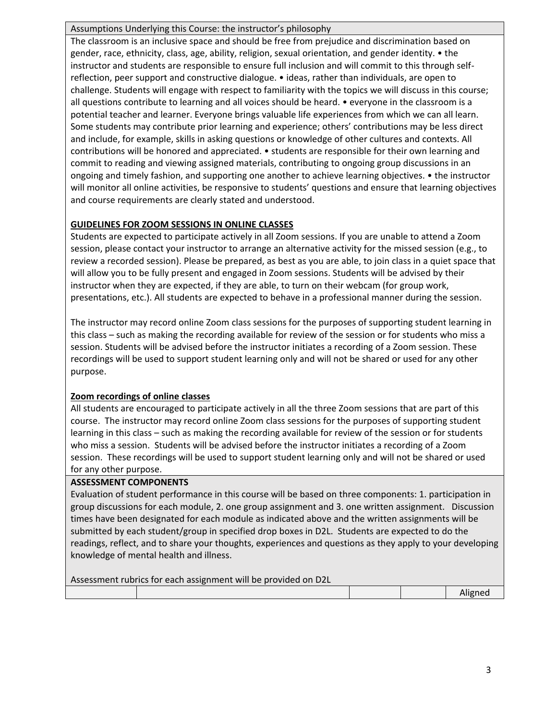### Assumptions Underlying this Course: the instructor's philosophy

The classroom is an inclusive space and should be free from prejudice and discrimination based on gender, race, ethnicity, class, age, ability, religion, sexual orientation, and gender identity. • the instructor and students are responsible to ensure full inclusion and will commit to this through selfreflection, peer support and constructive dialogue. • ideas, rather than individuals, are open to challenge. Students will engage with respect to familiarity with the topics we will discuss in this course; all questions contribute to learning and all voices should be heard. • everyone in the classroom is a potential teacher and learner. Everyone brings valuable life experiences from which we can all learn. Some students may contribute prior learning and experience; others' contributions may be less direct and include, for example, skills in asking questions or knowledge of other cultures and contexts. All contributions will be honored and appreciated. • students are responsible for their own learning and commit to reading and viewing assigned materials, contributing to ongoing group discussions in an ongoing and timely fashion, and supporting one another to achieve learning objectives. • the instructor will monitor all online activities, be responsive to students' questions and ensure that learning objectives and course requirements are clearly stated and understood.

## **GUIDELINES FOR ZOOM SESSIONS IN ONLINE CLASSES**

Students are expected to participate actively in all Zoom sessions. If you are unable to attend a Zoom session, please contact your instructor to arrange an alternative activity for the missed session (e.g., to review a recorded session). Please be prepared, as best as you are able, to join class in a quiet space that will allow you to be fully present and engaged in Zoom sessions. Students will be advised by their instructor when they are expected, if they are able, to turn on their webcam (for group work, presentations, etc.). All students are expected to behave in a professional manner during the session.

The instructor may record online Zoom class sessions for the purposes of supporting student learning in this class – such as making the recording available for review of the session or for students who miss a session. Students will be advised before the instructor initiates a recording of a Zoom session. These recordings will be used to support student learning only and will not be shared or used for any other purpose.

## **Zoom recordings of online classes**

All students are encouraged to participate actively in all the three Zoom sessions that are part of this course. The instructor may record online Zoom class sessions for the purposes of supporting student learning in this class – such as making the recording available for review of the session or for students who miss a session. Students will be advised before the instructor initiates a recording of a Zoom session. These recordings will be used to support student learning only and will not be shared or used for any other purpose.

## **ASSESSMENT COMPONENTS**

Evaluation of student performance in this course will be based on three components: 1. participation in group discussions for each module, 2. one group assignment and 3. one written assignment. Discussion times have been designated for each module as indicated above and the written assignments will be submitted by each student/group in specified drop boxes in D2L. Students are expected to do the readings, reflect, and to share your thoughts, experiences and questions as they apply to your developing knowledge of mental health and illness.

| Assessment rubrics for each assignment will be provided on D2L |  |  |  |         |  |
|----------------------------------------------------------------|--|--|--|---------|--|
|                                                                |  |  |  | Aligned |  |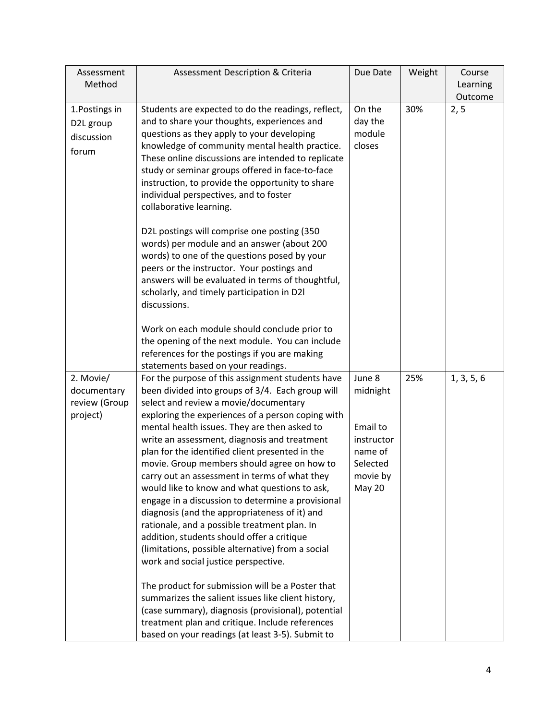| Assessment<br>Method                                  | <b>Assessment Description &amp; Criteria</b>                                                                                                                                                                                                                                                                                                                                                                                                                                                                                                                                                                                                                                                                                                                                                            | Due Date                                                                                  | Weight | Course<br>Learning<br>Outcome |
|-------------------------------------------------------|---------------------------------------------------------------------------------------------------------------------------------------------------------------------------------------------------------------------------------------------------------------------------------------------------------------------------------------------------------------------------------------------------------------------------------------------------------------------------------------------------------------------------------------------------------------------------------------------------------------------------------------------------------------------------------------------------------------------------------------------------------------------------------------------------------|-------------------------------------------------------------------------------------------|--------|-------------------------------|
| 1. Postings in<br>D2L group<br>discussion<br>forum    | Students are expected to do the readings, reflect,<br>and to share your thoughts, experiences and<br>questions as they apply to your developing<br>knowledge of community mental health practice.<br>These online discussions are intended to replicate<br>study or seminar groups offered in face-to-face<br>instruction, to provide the opportunity to share<br>individual perspectives, and to foster<br>collaborative learning.                                                                                                                                                                                                                                                                                                                                                                     | On the<br>day the<br>module<br>closes                                                     | 30%    | 2, 5                          |
|                                                       | D2L postings will comprise one posting (350<br>words) per module and an answer (about 200<br>words) to one of the questions posed by your<br>peers or the instructor. Your postings and<br>answers will be evaluated in terms of thoughtful,<br>scholarly, and timely participation in D2I<br>discussions.                                                                                                                                                                                                                                                                                                                                                                                                                                                                                              |                                                                                           |        |                               |
|                                                       | Work on each module should conclude prior to<br>the opening of the next module. You can include<br>references for the postings if you are making<br>statements based on your readings.                                                                                                                                                                                                                                                                                                                                                                                                                                                                                                                                                                                                                  |                                                                                           |        |                               |
| 2. Movie/<br>documentary<br>review (Group<br>project) | For the purpose of this assignment students have<br>been divided into groups of 3/4. Each group will<br>select and review a movie/documentary<br>exploring the experiences of a person coping with<br>mental health issues. They are then asked to<br>write an assessment, diagnosis and treatment<br>plan for the identified client presented in the<br>movie. Group members should agree on how to<br>carry out an assessment in terms of what they<br>would like to know and what questions to ask,<br>engage in a discussion to determine a provisional<br>diagnosis (and the appropriateness of it) and<br>rationale, and a possible treatment plan. In<br>addition, students should offer a critique<br>(limitations, possible alternative) from a social<br>work and social justice perspective. | June 8<br>midnight<br>Email to<br>instructor<br>name of<br>Selected<br>movie by<br>May 20 | 25%    | 1, 3, 5, 6                    |
|                                                       | The product for submission will be a Poster that<br>summarizes the salient issues like client history,<br>(case summary), diagnosis (provisional), potential<br>treatment plan and critique. Include references<br>based on your readings (at least 3-5). Submit to                                                                                                                                                                                                                                                                                                                                                                                                                                                                                                                                     |                                                                                           |        |                               |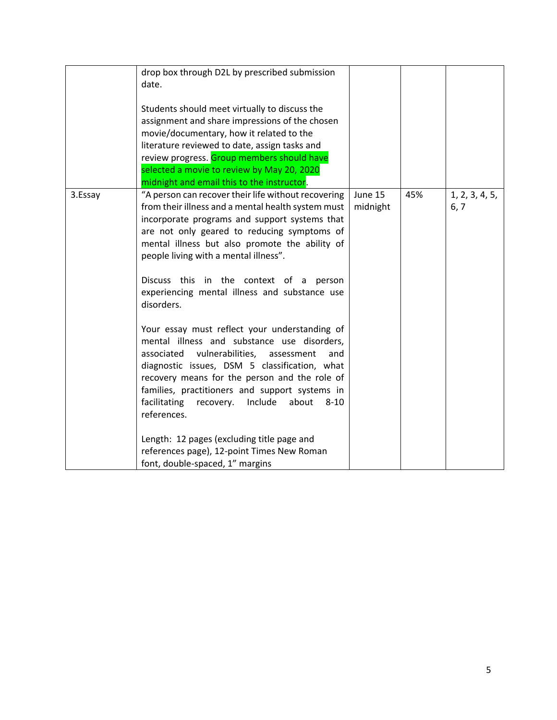|         | drop box through D2L by prescribed submission<br>date.<br>Students should meet virtually to discuss the<br>assignment and share impressions of the chosen<br>movie/documentary, how it related to the<br>literature reviewed to date, assign tasks and<br>review progress. Group members should have<br>selected a movie to review by May 20, 2020                                                                                                              |                     |     |                        |
|---------|-----------------------------------------------------------------------------------------------------------------------------------------------------------------------------------------------------------------------------------------------------------------------------------------------------------------------------------------------------------------------------------------------------------------------------------------------------------------|---------------------|-----|------------------------|
| 3.Essay | midnight and email this to the instructor.<br>"A person can recover their life without recovering<br>from their illness and a mental health system must<br>incorporate programs and support systems that<br>are not only geared to reducing symptoms of<br>mental illness but also promote the ability of<br>people living with a mental illness".<br>Discuss this in the context of a<br>person<br>experiencing mental illness and substance use<br>disorders. | June 15<br>midnight | 45% | 1, 2, 3, 4, 5,<br>6, 7 |
|         | Your essay must reflect your understanding of<br>mental illness and substance use disorders,<br>vulnerabilities,<br>associated<br>assessment<br>and<br>diagnostic issues, DSM 5 classification, what<br>recovery means for the person and the role of<br>families, practitioners and support systems in<br>facilitating<br>Include<br>recovery.<br>about<br>$8 - 10$<br>references.                                                                             |                     |     |                        |
|         | Length: 12 pages (excluding title page and<br>references page), 12-point Times New Roman<br>font, double-spaced, 1" margins                                                                                                                                                                                                                                                                                                                                     |                     |     |                        |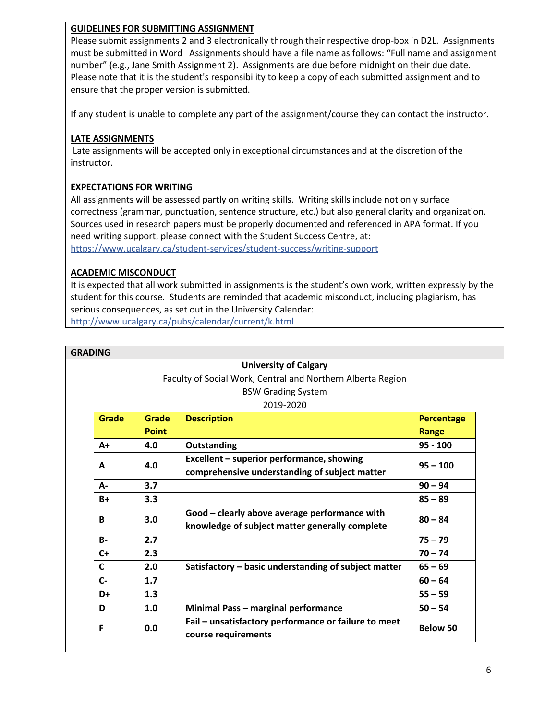## **GUIDELINES FOR SUBMITTING ASSIGNMENT**

Please submit assignments 2 and 3 electronically through their respective drop-box in D2L. Assignments must be submitted in Word Assignments should have a file name as follows: "Full name and assignment number" (e.g., Jane Smith Assignment 2). Assignments are due before midnight on their due date. Please note that it is the student's responsibility to keep a copy of each submitted assignment and to ensure that the proper version is submitted.

If any student is unable to complete any part of the assignment/course they can contact the instructor.

### **LATE ASSIGNMENTS**

Late assignments will be accepted only in exceptional circumstances and at the discretion of the instructor.

## **EXPECTATIONS FOR WRITING**

All assignments will be assessed partly on writing skills. Writing skills include not only surface correctness (grammar, punctuation, sentence structure, etc.) but also general clarity and organization. Sources used in research papers must be properly documented and referenced in APA format. If you need writing support, please connect with the Student Success Centre, at: <https://www.ucalgary.ca/student-services/student-success/writing-support>

### **ACADEMIC MISCONDUCT**

It is expected that all work submitted in assignments is the student's own work, written expressly by the student for this course. Students are reminded that academic misconduct, including plagiarism, has serious consequences, as set out in the University Calendar:

<http://www.ucalgary.ca/pubs/calendar/current/k.html>

|  | <b>GRADING</b>                                              |              |                                                      |                   |
|--|-------------------------------------------------------------|--------------|------------------------------------------------------|-------------------|
|  | <b>University of Calgary</b>                                |              |                                                      |                   |
|  | Faculty of Social Work, Central and Northern Alberta Region |              |                                                      |                   |
|  |                                                             |              | <b>BSW Grading System</b>                            |                   |
|  |                                                             |              | 2019-2020                                            |                   |
|  | <b>Grade</b>                                                | Grade        | <b>Description</b>                                   | <b>Percentage</b> |
|  |                                                             | <b>Point</b> |                                                      | Range             |
|  | $A+$                                                        | 4.0          | Outstanding                                          | $95 - 100$        |
|  | A                                                           | 4.0          | Excellent – superior performance, showing            | $95 - 100$        |
|  |                                                             |              | comprehensive understanding of subject matter        |                   |
|  | A-                                                          | 3.7          |                                                      | $90 - 94$         |
|  | $B+$                                                        | 3.3          |                                                      | $85 - 89$         |
|  | B                                                           | 3.0          | Good - clearly above average performance with        | $80 - 84$         |
|  |                                                             |              | knowledge of subject matter generally complete       |                   |
|  | <b>B-</b>                                                   | 2.7          |                                                      | $75 - 79$         |
|  | $C+$                                                        | 2.3          |                                                      | $70 - 74$         |
|  | C                                                           | 2.0          | Satisfactory - basic understanding of subject matter | $65 - 69$         |
|  | $C -$                                                       | 1.7          |                                                      | $60 - 64$         |
|  | D+                                                          | 1.3          |                                                      | $55 - 59$         |
|  | D                                                           | 1.0          | Minimal Pass - marginal performance                  | $50 - 54$         |
|  | F                                                           | 0.0          | Fail – unsatisfactory performance or failure to meet |                   |
|  |                                                             |              | course requirements                                  | <b>Below 50</b>   |
|  |                                                             |              |                                                      |                   |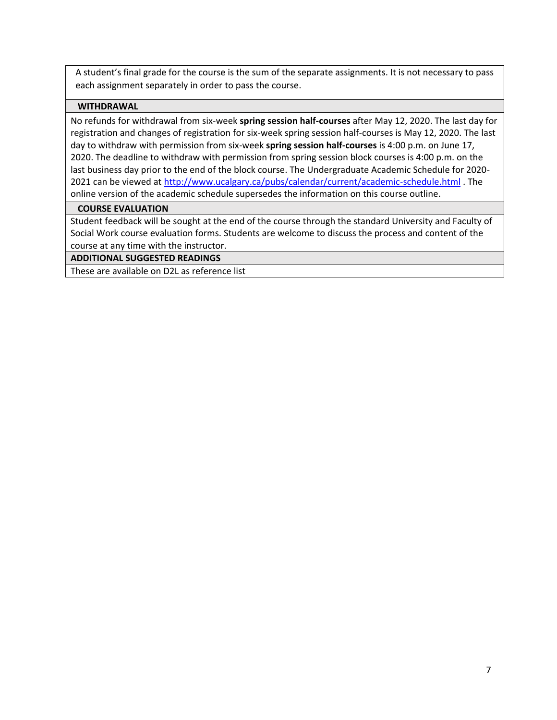A student's final grade for the course is the sum of the separate assignments. It is not necessary to pass each assignment separately in order to pass the course.

### **WITHDRAWAL**

No refunds for withdrawal from six-week **spring session half-courses** after May 12, 2020. The last day for registration and changes of registration for six-week spring session half-courses is May 12, 2020. The last day to withdraw with permission from six-week **spring session half-courses** is 4:00 p.m. on June 17, 2020. The deadline to withdraw with permission from spring session block courses is 4:00 p.m. on the last business day prior to the end of the block course. The Undergraduate Academic Schedule for 2020- 2021 can be viewed at<http://www.ucalgary.ca/pubs/calendar/current/academic-schedule.html> . The online version of the academic schedule supersedes the information on this course outline.

### **COURSE EVALUATION**

Student feedback will be sought at the end of the course through the standard University and Faculty of Social Work course evaluation forms. Students are welcome to discuss the process and content of the course at any time with the instructor.

### **ADDITIONAL SUGGESTED READINGS**

These are available on D2L as reference list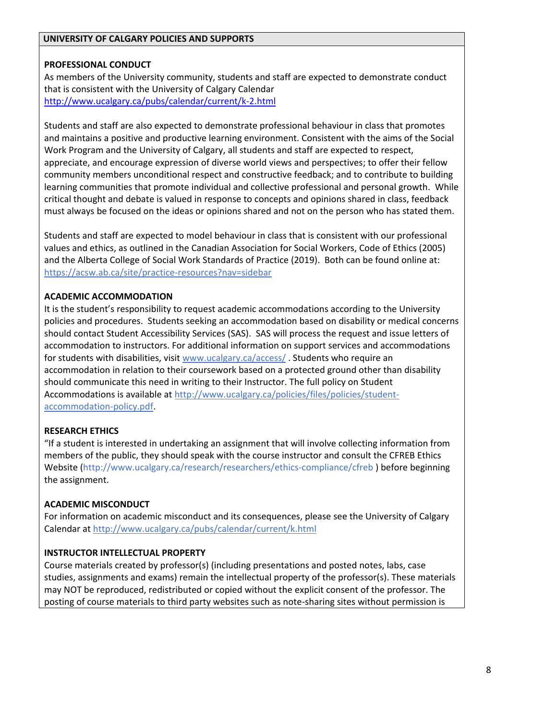#### **UNIVERSITY OF CALGARY POLICIES AND SUPPORTS**

## **PROFESSIONAL CONDUCT**

As members of the University community, students and staff are expected to demonstrate conduct that is consistent with the University of Calgary Calendar <http://www.ucalgary.ca/pubs/calendar/current/k-2.html>

Students and staff are also expected to demonstrate professional behaviour in class that promotes and maintains a positive and productive learning environment. Consistent with the aims of the Social Work Program and the University of Calgary, all students and staff are expected to respect, appreciate, and encourage expression of diverse world views and perspectives; to offer their fellow community members unconditional respect and constructive feedback; and to contribute to building learning communities that promote individual and collective professional and personal growth. While critical thought and debate is valued in response to concepts and opinions shared in class, feedback must always be focused on the ideas or opinions shared and not on the person who has stated them.

Students and staff are expected to model behaviour in class that is consistent with our professional values and ethics, as outlined in the Canadian Association for Social Workers, Code of Ethics (2005) and the Alberta College of Social Work Standards of Practice (2019). Both can be found online at: <https://acsw.ab.ca/site/practice-resources?nav=sidebar>

### **ACADEMIC ACCOMMODATION**

It is the student's responsibility to request academic accommodations according to the University policies and procedures. Students seeking an accommodation based on disability or medical concerns should contact Student Accessibility Services (SAS). SAS will process the request and issue letters of accommodation to instructors. For additional information on support services and accommodations for students with disabilities, visi[t www.ucalgary.ca/access/](http://www.ucalgary.ca/access/) . Students who require an accommodation in relation to their coursework based on a protected ground other than disability should communicate this need in writing to their Instructor. The full policy on Student Accommodations is available at [http://www.ucalgary.ca/policies/files/policies/student](http://www.ucalgary.ca/policies/files/policies/student-accommodation-policy.pdf)[accommodation-policy.pdf.](http://www.ucalgary.ca/policies/files/policies/student-accommodation-policy.pdf)

## **RESEARCH ETHICS**

"If a student is interested in undertaking an assignment that will involve collecting information from members of the public, they should speak with the course instructor and consult the CFREB Ethics Website [\(http://www.ucalgary.ca/research/researchers/ethics-compliance/cfreb](http://www.ucalgary.ca/research/researchers/ethics-compliance/cfreb) ) before beginning the assignment.

## **ACADEMIC MISCONDUCT**

For information on academic misconduct and its consequences, please see the University of Calgary Calendar at<http://www.ucalgary.ca/pubs/calendar/current/k.html>

#### **INSTRUCTOR INTELLECTUAL PROPERTY**

Course materials created by professor(s) (including presentations and posted notes, labs, case studies, assignments and exams) remain the intellectual property of the professor(s). These materials may NOT be reproduced, redistributed or copied without the explicit consent of the professor. The posting of course materials to third party websites such as note-sharing sites without permission is